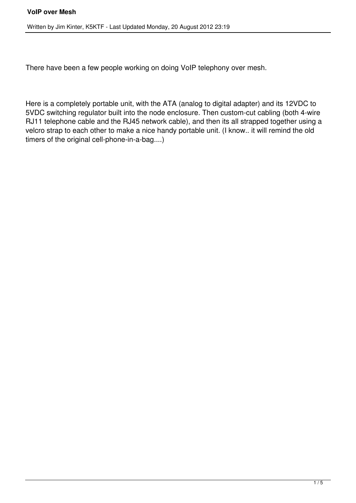There have been a few people working on doing VoIP telephony over mesh.

Here is a completely portable unit, with the ATA (analog to digital adapter) and its 12VDC to 5VDC switching regulator built into the node enclosure. Then custom-cut cabling (both 4-wire RJ11 telephone cable and the RJ45 network cable), and then its all strapped together using a velcro strap to each other to make a nice handy portable unit. (I know.. it will remind the old timers of the original cell-phone-in-a-bag....)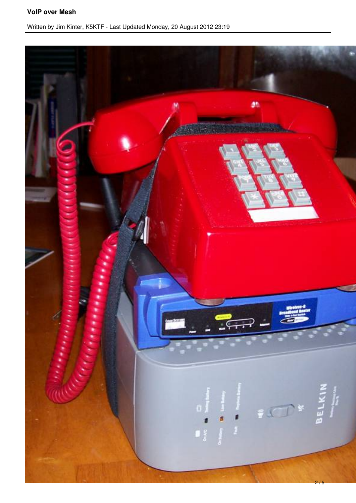## **VoIP over Mesh**

Written by Jim Kinter, K5KTF - Last Updated Monday, 20 August 2012 23:19

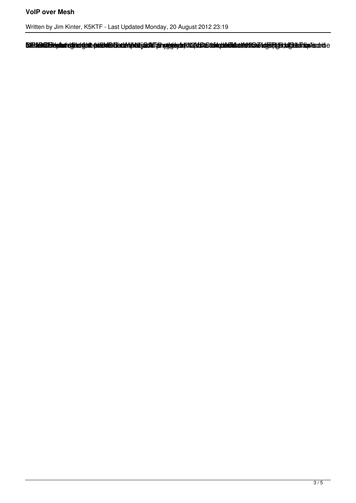Written by Jim Kinter, K5KTF - Last Updated Monday, 20 August 2012 23:19

**töättenä Erichan siina yhti josakite lietettivättija dili ai vyyyyytyi tieti Destoin tehtä aitetto toja aja tehti aino sa**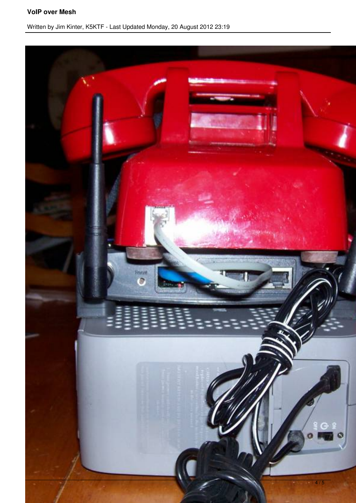## **VoIP over Mesh**

Written by Jim Kinter, K5KTF - Last Updated Monday, 20 August 2012 23:19